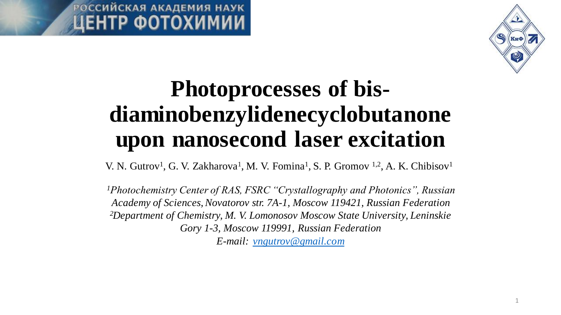



# **Photoprocesses of bisdiaminobenzylidenecyclobutanone upon nanosecond laser excitation**

V. N. Gutrov<sup>1</sup>, G. V. Zakharova<sup>1</sup>, M. V. Fomina<sup>1</sup>, S. P. Gromov <sup>1,2</sup>, A. K. Chibisov<sup>1</sup>

*<sup>1</sup>Photochemistry Center of RAS, FSRC "Crystallography and Photonics", Russian Academy of Sciences, Novatorov str. 7A-1, Moscow 119421, Russian Federation <sup>2</sup>Department of Chemistry, M. V. Lomonosov Moscow State University, Leninskie Gory 1-3, Moscow 119991, Russian Federation E-mail: [vngutrov@gmail.com](mailto:vngutrov@gmail.com)*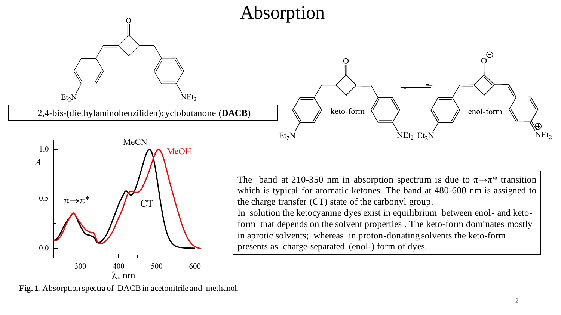



The band at 210-350 nm in absorption spectrum is due to  $\pi \rightarrow \pi^*$  transition which is typical for aromatic ketones. The band at 480-600 nm is assigned to the charge transfer (СT) state of the carbonyl group. In solution the ketocyanine dyes exist in equilibrium between enol- and ketoform that depends on the solvent properties . The keto-form dominates mostly in aprotic solvents; whereas in proton-donating solvents the keto-form

presents as charge-separated (enol-) form of dyes.

**Fig. 1**. Absorption spectra of DACB in acetonitrile and methanol.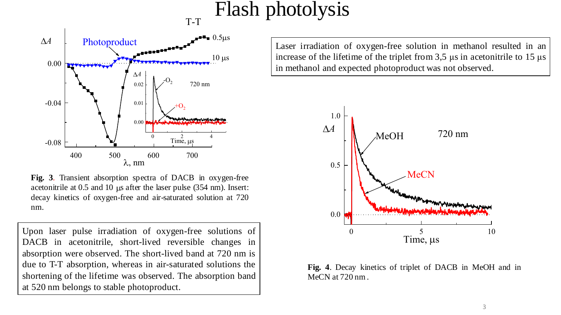# Flash photolysis



**Fig. 3**. Transient absorption spectra of DACB in oxygen-free acetonitrile at  $0.5$  and  $10 \mu s$  after the laser pulse (354 nm). Insert: decay kinetics of oxygen-free and air-saturated solution at 720 nm.

Upon laser pulse irradiation of oxygen-free solutions of DACB in acetonitrile, short-lived reversible changes in absorption were observed. The short-lived band at 720 nm is due to T-T absorption, whereas in air-saturated solutions the shortening of the lifetime was observed. The absorption band at 520 nm belongs to stable photoproduct.

Laser irradiation of oxygen-free solution in methanol resulted in an increase of the lifetime of the triplet from  $3.5 \,\mu s$  in acetonitrile to  $15 \,\mu s$ in methanol and expected photoproduct was not observed.



**Fig. 4**. Decay kinetics of triplet of DACB in MeOH and in MeCN at 720 nm .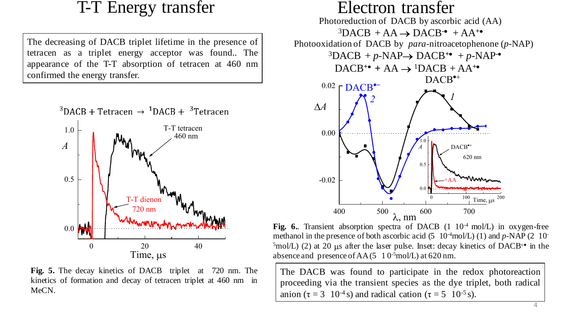### T-T Energy transfer

The decreasing of DACB triplet lifetime in the presence of tetracen as a triplet energy acceptor was found.. The appearance of the T-T absorption of tetracen at 460 nm confirmed the energy transfer.



**Fig. 5.** The decay kinetics of DACB triplet at 720 nm. The kinetics of formation and decay of tetracen triplet at 460 nm in MeCN.

#### Photoreduction of DACB by ascorbic acid (AA)  ${}^{3}$ DACB + AA  $\rightarrow$  DACB<sup>-•</sup> + AA<sup>+•</sup>  $DACB^{+}$  +  $AA \rightarrow {}^{1}DACB + AA^{+}$ Photooxidation of DACB by *para*-nitroacetophenone (*p-*NAP)  ${}^{3}DACB + p-NAP \rightarrow DACB^{+} + p-NAP^{-}$ Electron transfer  $720 \text{ nm}$   $\text{W}_{\text{M}}$  400 500 600 700 -0.02 0.00  $0.02 \upharpoonright \text{DACB}^{\bullet+}$ 0  $100 \text{ Time, } \mu s$   $200$ 0.0 0.5  $1.0 \vdash$ *A*  $\uparrow$   $\uparrow$  $\lambda$ , nm  $^{600}$  700 *2 1* +AA vullar  $DACB^{\bullet+}$ 620 nm

Fig. 6. Transient absorption spectra of DACB (1 10<sup>-4</sup> mol/L) in oxygen-free methanol in the presence of both ascorbic acid (5 10<sup>-4</sup>mol/L) (1) and *p*-NAP (2 10<sup>-1</sup>)  $5 \text{mol/L}$ ) (2) at 20 µs after the laser pulse. Inset: decay kinetics of DACB<sup>+•</sup> in the absence and presence of  $AA(5 \ 10^{-5} \text{mol/L})$  at 620 nm.

The DACB was found to participate in the redox photoreaction proceeding via the transient species as the dye triplet, both radical anion ( $\tau = 3 \cdot 10^{-4}$  s) and radical cation ( $\tau = 5 \cdot 10^{-5}$  s).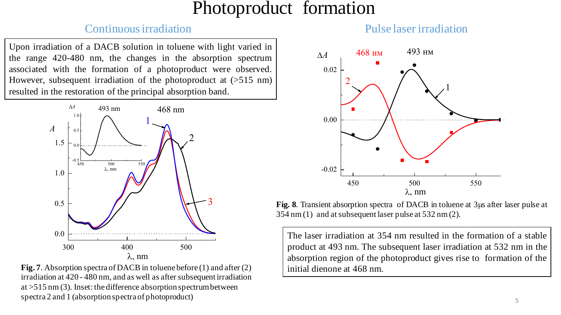### Photoproduct formation

#### Continuous irradiation Pulse laser irradiation

Upon irradiation of a DACB solution in toluene with light varied in the range 420-480 nm, the changes in the absorption spectrum associated with the formation of a photoproduct were observed. However, subsequent irradiation of the photoproduct at (>515 nm) resulted in the restoration of the principal absorption band.



**Fig. 7**. Absorption spectra of DACB in toluene before (1) and after (2)  $\qquad$  initial dienone at 468 nm. irradiation at 420 - 480 nm, and as well as after subsequent irradiation at >515 nm (3). Inset: the difference absorption spectrum between spectra 2 and 1 (absorption spectra of photoproduct)



**Fig. 8**. Transient absorption spectra of DACB in toluene at 3μs after laser pulse at 354 nm (1) and at subsequent laser pulse at 532 nm (2).

The laser irradiation at 354 nm resulted in the formation of a stable product at 493 nm. The subsequent laser irradiation at 532 nm in the absorption region of the photoproduct gives rise to formation of the